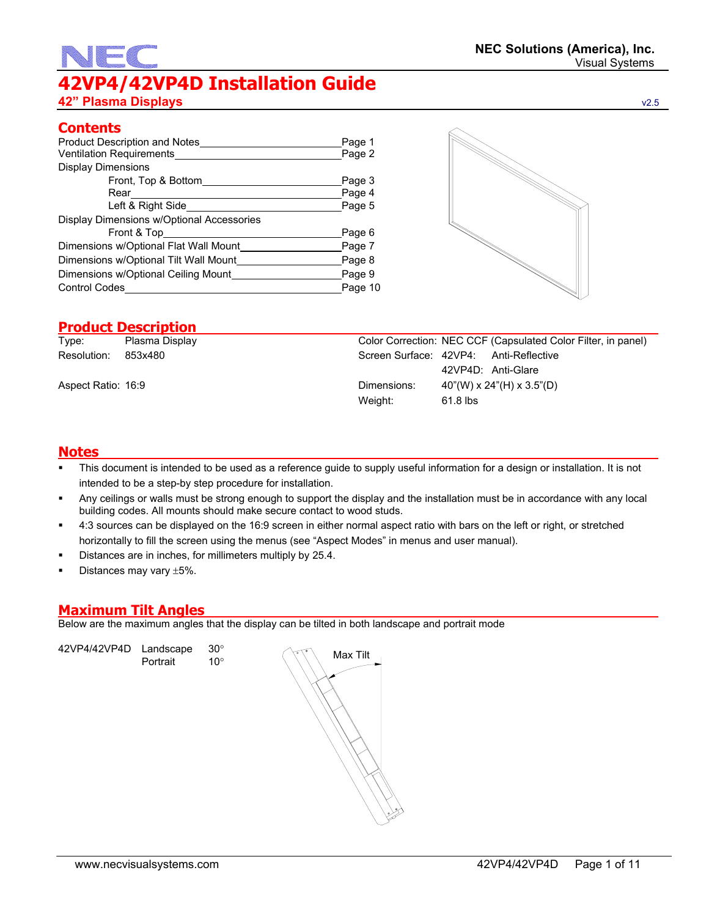# **42VP4/42VP4D Installation Guide 42" Plasma Displays** v2.5

| Product Description and Notes             | Page 1  |  |  |
|-------------------------------------------|---------|--|--|
| Ventilation Requirements                  |         |  |  |
| <b>Display Dimensions</b>                 |         |  |  |
| Front, Top & Bottom                       | Page 3  |  |  |
| Rear                                      | Page 4  |  |  |
| Left & Right Side                         | Page 5  |  |  |
| Display Dimensions w/Optional Accessories |         |  |  |
| Front & Top___                            | Page 6  |  |  |
| Dimensions w/Optional Flat Wall Mount     | Page 7  |  |  |
| Dimensions w/Optional Tilt Wall Mount     | Page 8  |  |  |
| Dimensions w/Optional Ceiling Mount       | Page 9  |  |  |
| <b>Control Codes</b>                      | Page 10 |  |  |

## **Product Description**

| Type:              | Plasma Display |             | Color Correction: NEC CCF (Capsulated Color Filter, in panel) |
|--------------------|----------------|-------------|---------------------------------------------------------------|
| Resolution:        | 853x480        |             | Screen Surface: 42VP4: Anti-Reflective                        |
|                    |                |             | 42VP4D: Anti-Glare                                            |
| Aspect Ratio: 16:9 |                | Dimensions: | 40"(W) x 24"(H) x 3.5"(D)                                     |
|                    |                | Weight:     | 61.8 lbs                                                      |
|                    |                |             |                                                               |

#### **Notes**

- This document is intended to be used as a reference guide to supply useful information for a design or installation. It is not intended to be a step-by step procedure for installation.
- Any ceilings or walls must be strong enough to support the display and the installation must be in accordance with any local building codes. All mounts should make secure contact to wood studs.
- 4:3 sources can be displayed on the 16:9 screen in either normal aspect ratio with bars on the left or right, or stretched horizontally to fill the screen using the menus (see "Aspect Modes" in menus and user manual).
- Distances are in inches, for millimeters multiply by 25.4.
- Distances may vary ±5%.

## **Maximum Tilt Angles**

Below are the maximum angles that the display can be tilted in both landscape and portrait mode

42VP4/42VP4D Landscape 30°  $\left\{\begin{matrix} \sqrt[3]{}\\ 1 \end{matrix}\right\}$  Max Tilt<br>Portrait 10°

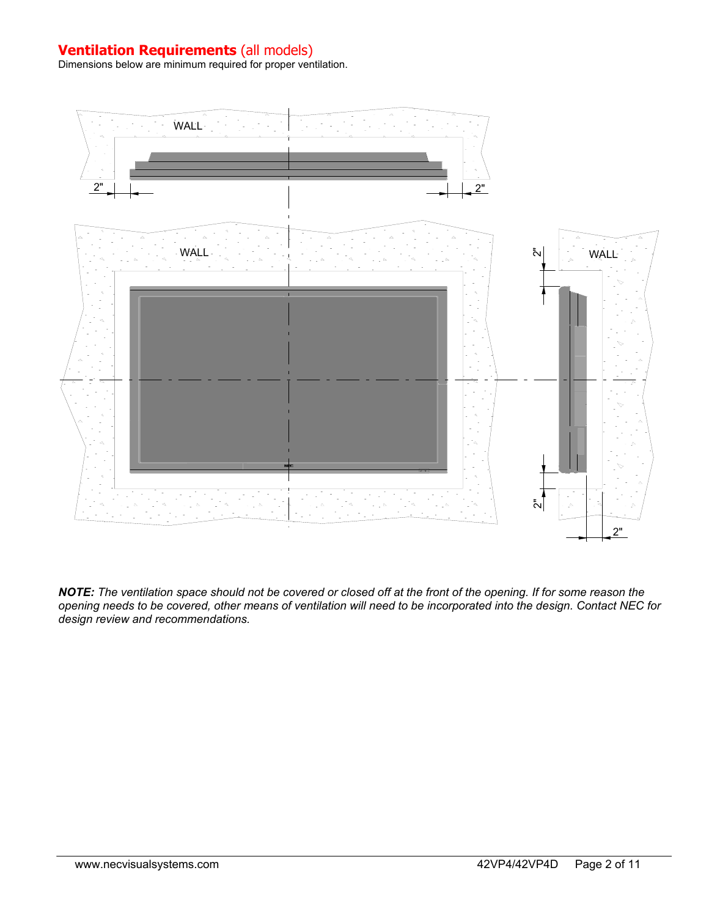## **Ventilation Requirements** (all models)

Dimensions below are minimum required for proper ventilation.



*NOTE: The ventilation space should not be covered or closed off at the front of the opening. If for some reason the opening needs to be covered, other means of ventilation will need to be incorporated into the design. Contact NEC for design review and recommendations.*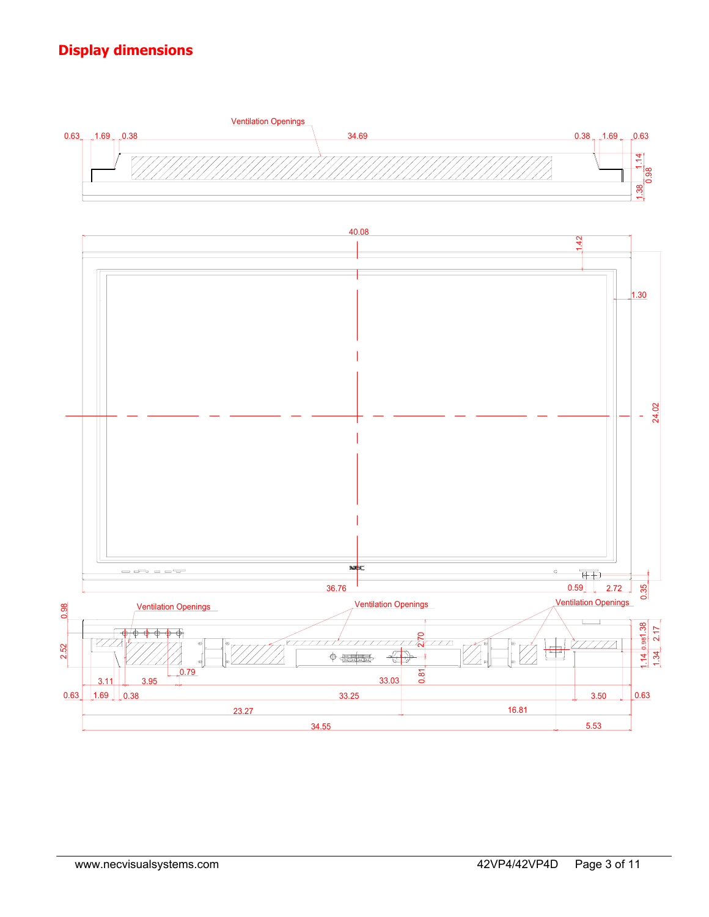# **Display dimensions**

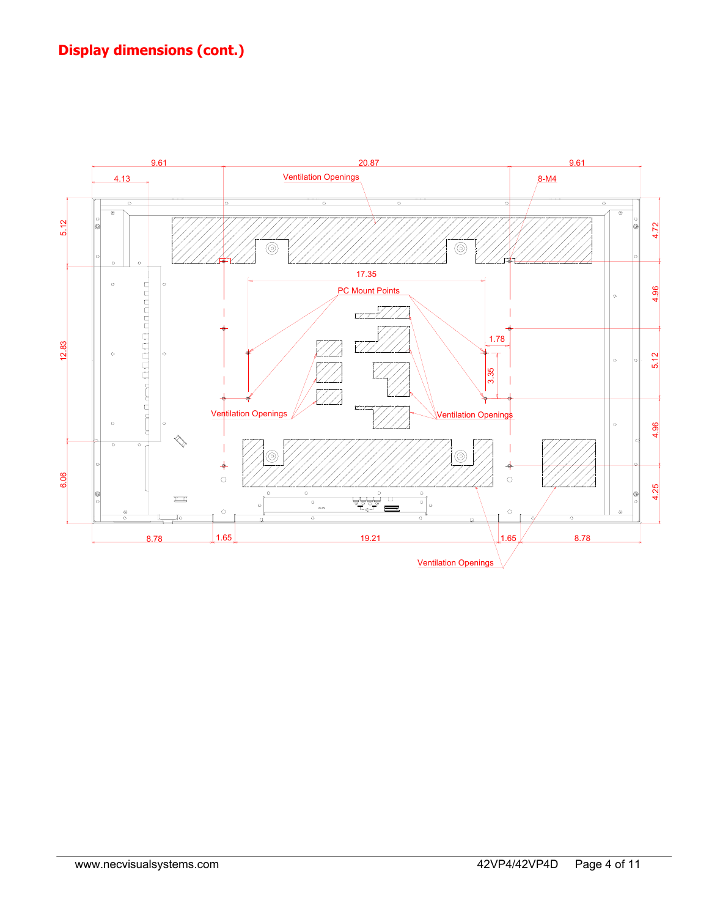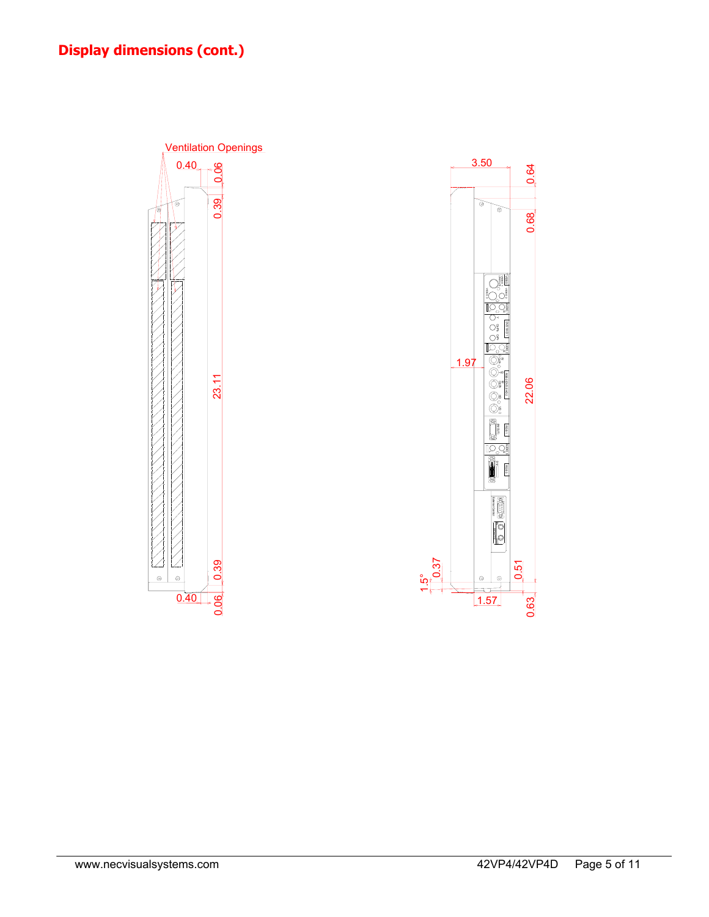

(IN/OUT) VIDEO VIDEO 1 VIDEO 2 JO, Y Cb/Pb Cr/Pr DVD 1/HD 1 AUDIO 2 — n −z

VIDEO 3

 $\mathbf{g}$ 

0.68

3.50

ক্ত ৯

AUDIO 3

RGB 3

OUT IN External Control External Control

Q ිම O

 $1.57$ 

 RGB 1 (IN/OUT)

ñ 10 C

Y Cb/Pbä á

Cr/Pr R/ B/

RGB 2/DVD 2/HD 2

22.06

0.63

5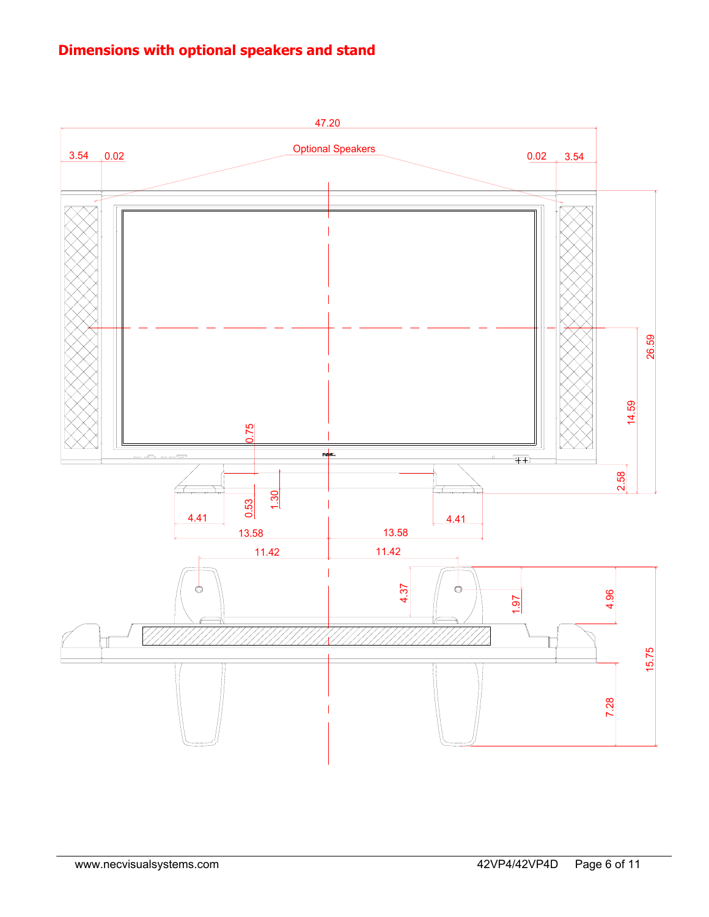# **Dimensions with optional speakers and stand**

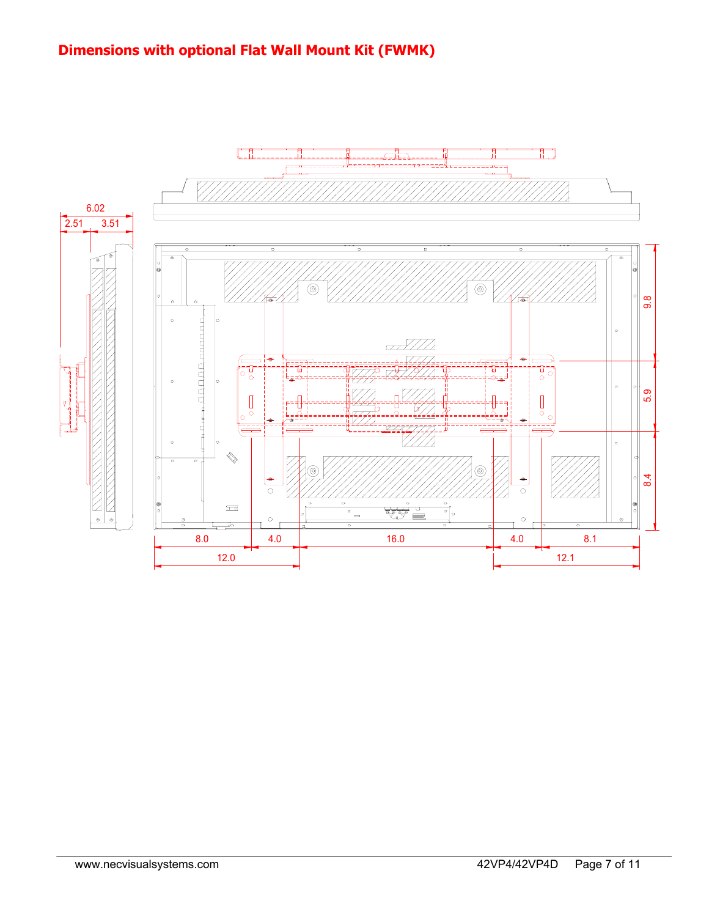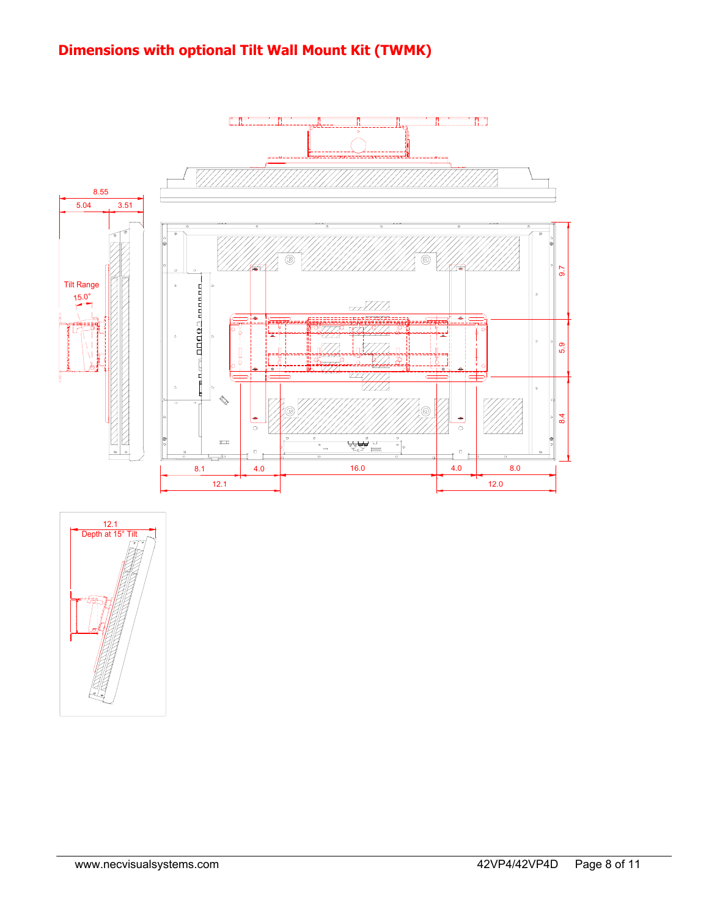# **Dimensions with optional Tilt Wall Mount Kit (TWMK)**



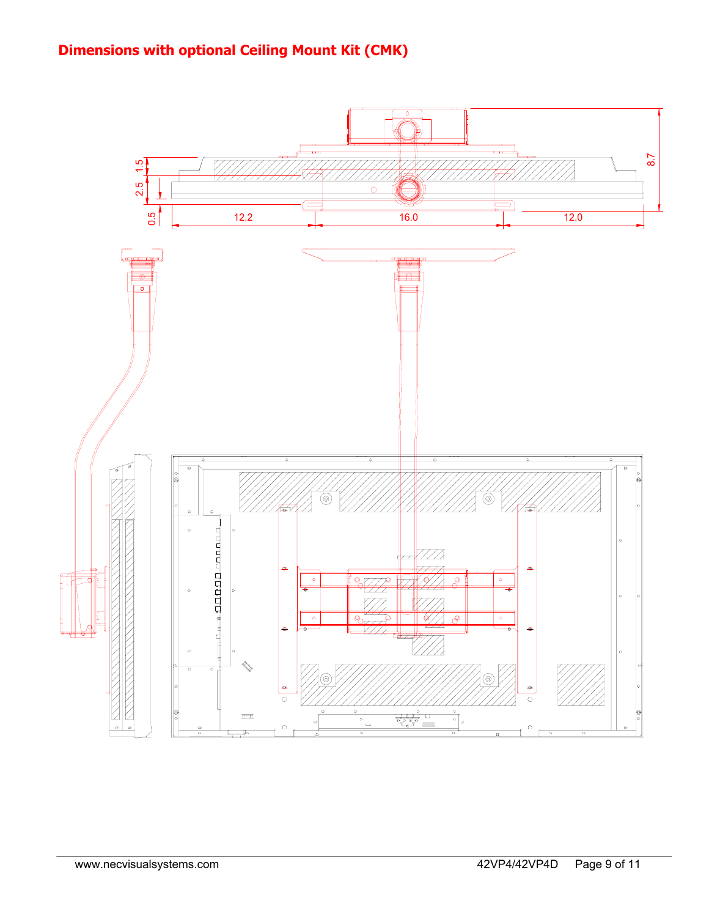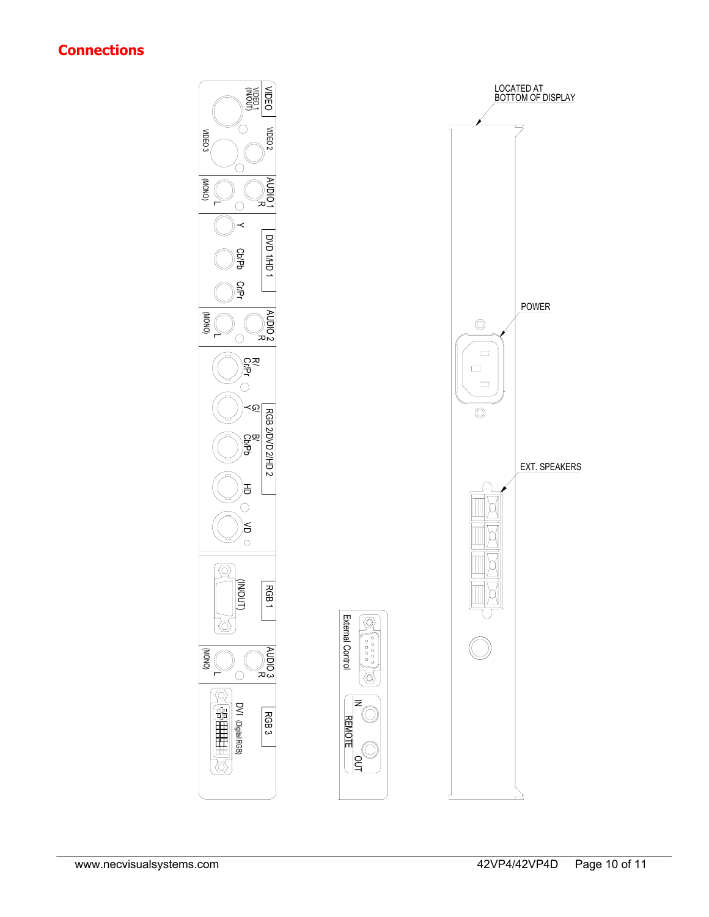## **Connections**